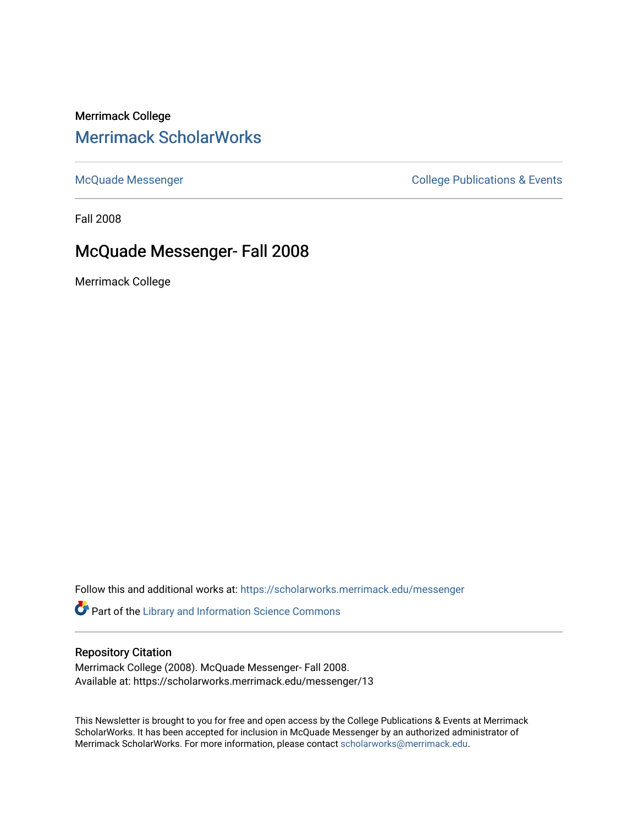# Merrimack College [Merrimack ScholarWorks](https://scholarworks.merrimack.edu/)

[McQuade Messenger](https://scholarworks.merrimack.edu/messenger) College Publications & Events

Fall 2008

# McQuade Messenger- Fall 2008

Merrimack College

Follow this and additional works at: [https://scholarworks.merrimack.edu/messenger](https://scholarworks.merrimack.edu/messenger?utm_source=scholarworks.merrimack.edu%2Fmessenger%2F13&utm_medium=PDF&utm_campaign=PDFCoverPages) 

Part of the [Library and Information Science Commons](http://network.bepress.com/hgg/discipline/1018?utm_source=scholarworks.merrimack.edu%2Fmessenger%2F13&utm_medium=PDF&utm_campaign=PDFCoverPages) 

#### Repository Citation

Merrimack College (2008). McQuade Messenger- Fall 2008. Available at: https://scholarworks.merrimack.edu/messenger/13

This Newsletter is brought to you for free and open access by the College Publications & Events at Merrimack ScholarWorks. It has been accepted for inclusion in McQuade Messenger by an authorized administrator of Merrimack ScholarWorks. For more information, please contact [scholarworks@merrimack.edu](mailto:scholarworks@merrimack.edu).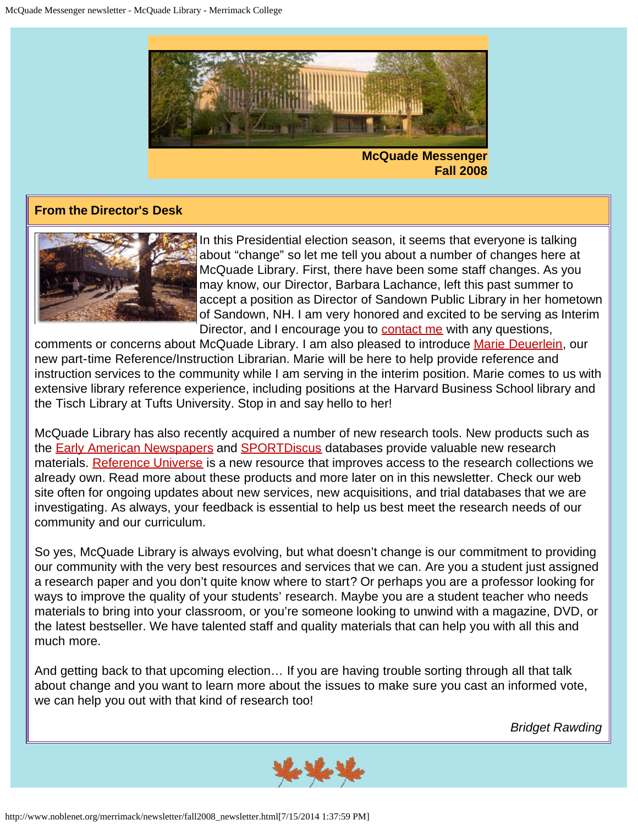

**McQuade Messenger Fall 2008**

#### **From the Director's Desk**



In this Presidential election season, it seems that everyone is talking about "change" so let me tell you about a number of changes here at McQuade Library. First, there have been some staff changes. As you may know, our Director, Barbara Lachance, left this past summer to accept a position as Director of Sandown Public Library in her hometown of Sandown, NH. I am very honored and excited to be serving as Interim Director, and I encourage you to [contact me](mailto:bridget.rawding@merrimack.edu) with any questions,

comments or concerns about McQuade Library. I am also pleased to introduce [Marie Deuerlein,](mailto:marie.deuerlein@merrimack.edu) our new part-time Reference/Instruction Librarian. Marie will be here to help provide reference and instruction services to the community while I am serving in the interim position. Marie comes to us with extensive library reference experience, including positions at the Harvard Business School library and the Tisch Library at Tufts University. Stop in and say hello to her!

McQuade Library has also recently acquired a number of new research tools. New products such as the [Early American Newspapers](http://proxy3.noblenet.org/login?url=http://infoweb.newsbank.com/?db=EANX) and [SPORTDiscus](http://proxy3.noblenet.org/login?url=http://search.ebscohost.com/login.aspx?authtype=cookie,ip,cpid&custid=mer&profile=ehost&defaultdb=s3h) databases provide valuable new research materials. [Reference Universe](http://proxy3.noblenet.org/login?url=http://refuniv.odyssi.com/) is a new resource that improves access to the research collections we already own. Read more about these products and more later on in this newsletter. Check our web site often for ongoing updates about new services, new acquisitions, and trial databases that we are investigating. As always, your feedback is essential to help us best meet the research needs of our community and our curriculum.

So yes, McQuade Library is always evolving, but what doesn't change is our commitment to providing our community with the very best resources and services that we can. Are you a student just assigned a research paper and you don't quite know where to start? Or perhaps you are a professor looking for ways to improve the quality of your students' research. Maybe you are a student teacher who needs materials to bring into your classroom, or you're someone looking to unwind with a magazine, DVD, or the latest bestseller. We have talented staff and quality materials that can help you with all this and much more.

And getting back to that upcoming election… If you are having trouble sorting through all that talk about change and you want to learn more about the issues to make sure you cast an informed vote, we can help you out with that kind of research too!

*Bridget Rawding*

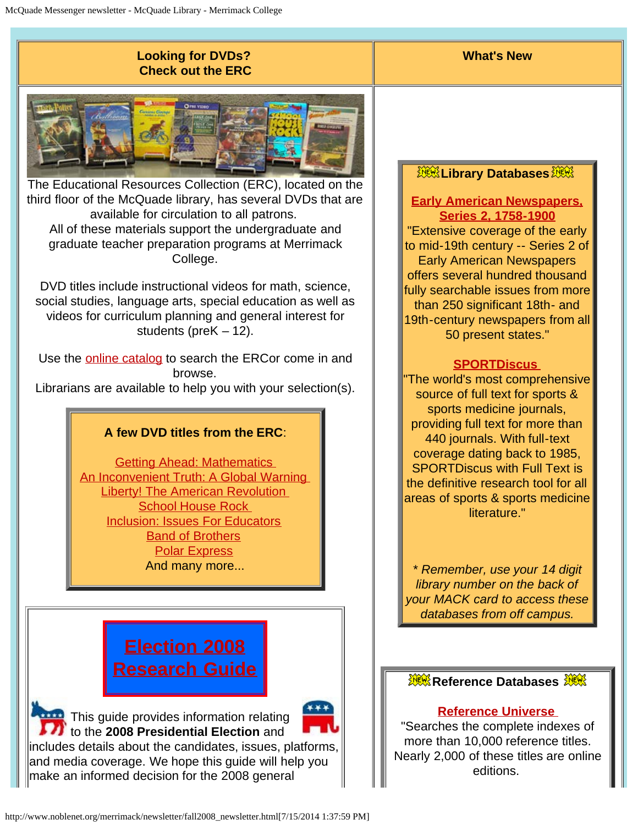### **Looking for DVDs? Check out the ERC**



The Educational Resources Collection (ERC), located on the third floor of the McQuade library, has several DVDs that are available for circulation to all patrons. All of these materials support the undergraduate and graduate teacher preparation programs at Merrimack College.

DVD titles include instructional videos for math, science, social studies, language arts, special education as well as videos for curriculum planning and general interest for students (preK – 12).

Use the **online catalog** to search the ERCor come in and browse.

Librarians are available to help you with your selection(s).

## **A few DVD titles from the ERC**:

[Getting Ahead: Mathematics](http://catalog.noblenet.org/record=b2612428)  [An Inconvenient Truth: A Global Warning](http://catalog.noblenet.org/record=b2392951)  [Liberty! The American Revolution](http://catalog.noblenet.org/record=b2278105)  [School House Rock](http://catalog.noblenet.org/record=b2372182)  [Inclusion: Issues For Educators](http://catalog.noblenet.org/record=b2356331) [Band of Brothers](http://catalog.noblenet.org/record=b2076244) [Polar Express](http://catalog.noblenet.org/record=b2333567) And many more...

# **[Election 2008](http://www.noblenet.org/merrimack/2008election.htm) [Research Guide](http://www.noblenet.org/merrimack/2008election.htm)**

This guide provides information relating **If**  $\overline{1}$  to the 2008 Presidential Election and includes details about the candidates, issues, platforms, and media coverage. We hope this guide will help you make an informed decision for the 2008 general

## *De Library Databases*

**What's New**

#### **[Early American Newspapers,](http://proxy3.noblenet.org/login?url=http://infoweb.newsbank.com/?db=EANX) [Series 2, 1758-1900](http://proxy3.noblenet.org/login?url=http://infoweb.newsbank.com/?db=EANX)**

"Extensive coverage of the early to mid-19th century -- Series 2 of Early American Newspapers offers several hundred thousand fully searchable issues from more than 250 significant 18th- and 19th-century newspapers from all 50 present states."

#### **[SPORTDiscus](http://proxy3.noblenet.org/login?url=http://search.ebscohost.com/login.aspx?authtype=cookie,ip,cpid&custid=mer&profile=ehost&defaultdb=s3h)**

"The world's most comprehensive source of full text for sports & sports medicine journals, providing full text for more than 440 journals. With full-text coverage dating back to 1985, SPORTDiscus with Full Text is the definitive research tool for all areas of sports & sports medicine literature."

*\* Remember, use your 14 digit library number on the back of your MACK card to access these databases from off campus.*

#### **Xex Reference Databases Xex**

#### **[Reference Universe](http://proxy3.noblenet.org/login?url=http://refuniv.odyssi.com/)**

"Searches the complete indexes of more than 10,000 reference titles. Nearly 2,000 of these titles are online editions.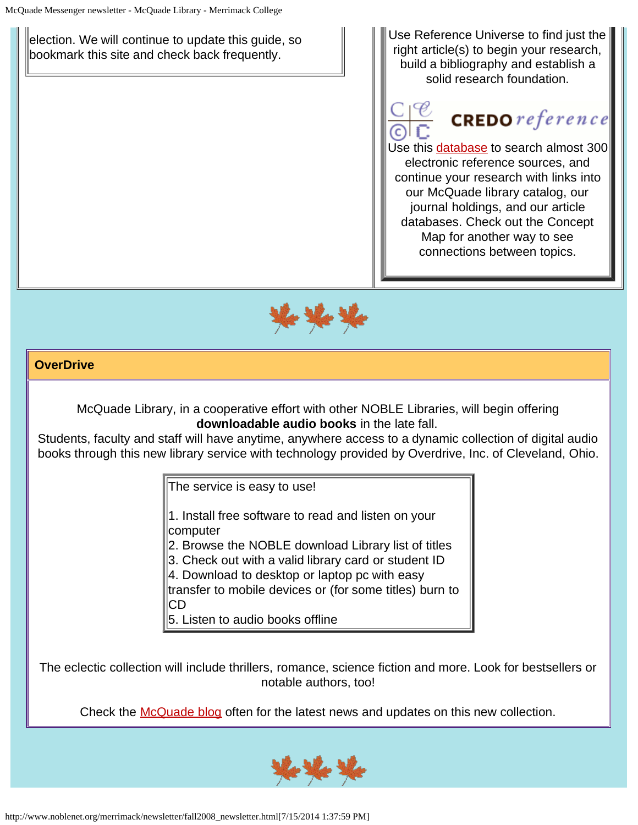election. We will continue to update this guide, so bookmark this site and check back frequently.

Use Reference Universe to find just the right article(s) to begin your research, build a bibliography and establish a solid research foundation.



# $CREDO<sub>reference</sub>$

Use this [database](http://www.credoreference.com/) to search almost 300 electronic reference sources, and continue your research with links into our McQuade library catalog, our journal holdings, and our article databases. Check out the Concept Map for another way to see connections between topics.



## **OverDrive**

McQuade Library, in a cooperative effort with other NOBLE Libraries, will begin offering **downloadable audio books** in the late fall.

Students, faculty and staff will have anytime, anywhere access to a dynamic collection of digital audio books through this new library service with technology provided by Overdrive, Inc. of Cleveland, Ohio.

The service is easy to use!

1. Install free software to read and listen on your computer

2. Browse the NOBLE download Library list of titles

3. Check out with a valid library card or student ID

4. Download to desktop or laptop pc with easy

transfer to mobile devices or (for some titles) burn to CD

5. Listen to audio books offline

The eclectic collection will include thrillers, romance, science fiction and more. Look for bestsellers or notable authors, too!

Check the [McQuade blog](http://server1.noblenet.org/merrimack/blog1/) often for the latest news and updates on this new collection.

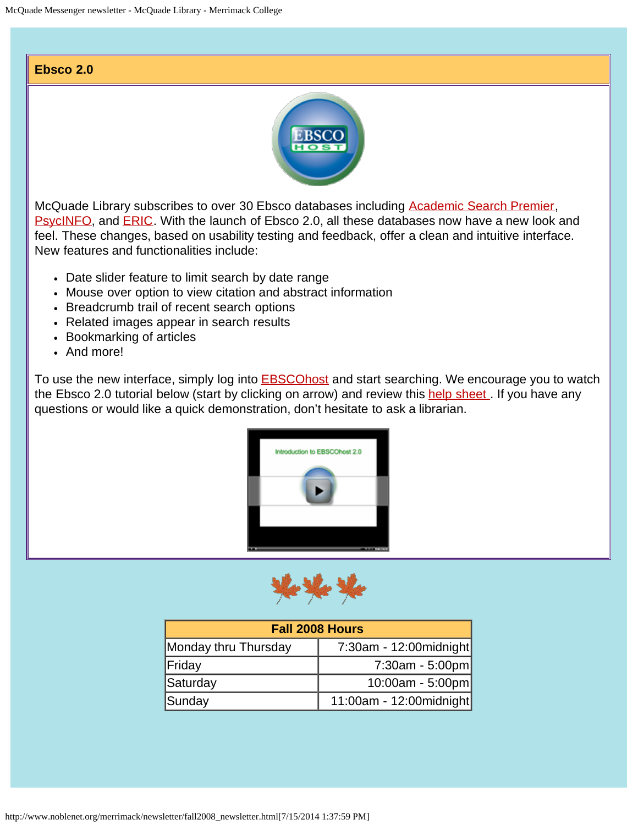#### **Ebsco 2.0**



McQuade Library subscribes to over 30 Ebsco databases including [Academic Search Premier,](http://proxy3.noblenet.org/login?url=http://search.ebscohost.com/login.aspx?authtype=cookie,ip,cpid&custid=mer&profile=ehost&defaultdb=aph) [PsycINFO](http://proxy3.noblenet.org/login?url=http://search.ebscohost.com/login.aspx?authtype=cookie,ip,cpid&custid=mer&profile=ehost&defaultdb=psyh), and [ERIC](http://proxy3.noblenet.org/login?url=http://search.ebscohost.com/login.aspx?authtype=cookie,ip,cpid&custid=mer&profile=ehost&defaultdb=eric). With the launch of Ebsco 2.0, all these databases now have a new look and feel. These changes, based on usability testing and feedback, offer a clean and intuitive interface. New features and functionalities include:

- Date slider feature to limit search by date range
- Mouse over option to view citation and abstract information
- Breadcrumb trail of recent search options
- Related images appear in search results
- Bookmarking of articles
- And more!

To use the new interface, simply log into **EBSCOhost** and start searching. We encourage you to watch the Ebsco 2.0 tutorial below (start by clicking on arrow) and review this help sheet. If you have any questions or would like a quick demonstration, don't hesitate to ask a librarian.





| <b>Fall 2008 Hours</b> |                            |
|------------------------|----------------------------|
| Monday thru Thursday   | $7:30$ am - 12:00 midnight |
| Friday                 | $7:30am - 5:00pm$          |
| Saturday               | 10:00am - 5:00pm           |
| Sunday                 | 11:00am - 12:00 $midnight$ |